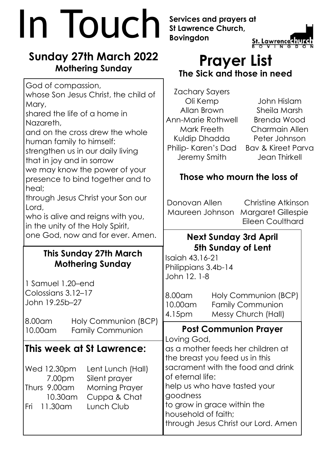# **In Touch Services and prayers at**<br>Bovingdon St. Lawrence

## **Sunday 27th March 2022 Mothering Sunday**

whose Son Jesus Christ, the child of

and on the cross drew the whole

strengthen us in our daily living

we may know the power of your presence to bind together and to

through Jesus Christ your Son our

who is alive and reigns with you,

in the unity of the Holy Spirit,

God of compassion,

shared the life of a home in

human family to himself:

that in joy and in sorrow

Mary,

heal;

Lord,

Nazareth,

**This Sunday 27th March**

one God, now and for ever. Amen.

**Mothering Sunday**

10.00am Family Communion

1 Samuel 1.20–end Colossians 3.12–17 John 19.25b–27

**St Lawrence Church, Bovingdon**



## **Prayer List The Sick and those in need**

Zachary Sayers Oli Kemp Allan Brown Ann-Marie Rothwell Mark Freeth Kuldip Dhadda Philip- Karen's Dad Jeremy Smith

John Hislam Sheila Marsh Brenda Wood Charmain Allen Peter Johnson Bav & Kireet Parva Jean Thirkell

## **Those who mourn the loss of**

Donovan Allen Christine Atkinson Maureen Johnson Margaret Gillespie Eileen Coulthard

### **Next Sunday 3rd April 5th Sunday of Lent**

Isaiah 43.16-21 Philippians 3.4b-14 John 12. 1-8

| Colossians 3.12–17<br>John 19.25b–27 |                      | $ 8.00$ am           | Holy Communion (BCP)    |
|--------------------------------------|----------------------|----------------------|-------------------------|
|                                      |                      | $\parallel$ 10.00 am | <b>Family Communion</b> |
|                                      |                      | $ 4.15$ pm           | Messy Church (Hall)     |
| 8.00am                               | Holy Communion (BCP) |                      |                         |

## **Post Communion Prayer**

**This week at St Lawrence:** Wed 12.30pm Lent Lunch (Hall) 7.00pm Silent prayer Thurs 9.00am Morning Prayer 10.30am Cuppa & Chat Fri 11.30am Lunch Club Loving God, as a mother feeds her children at the breast you feed us in this sacrament with the food and drink of eternal life: help us who have tasted your goodness to grow in grace within the household of faith; through Jesus Christ our Lord. Amen